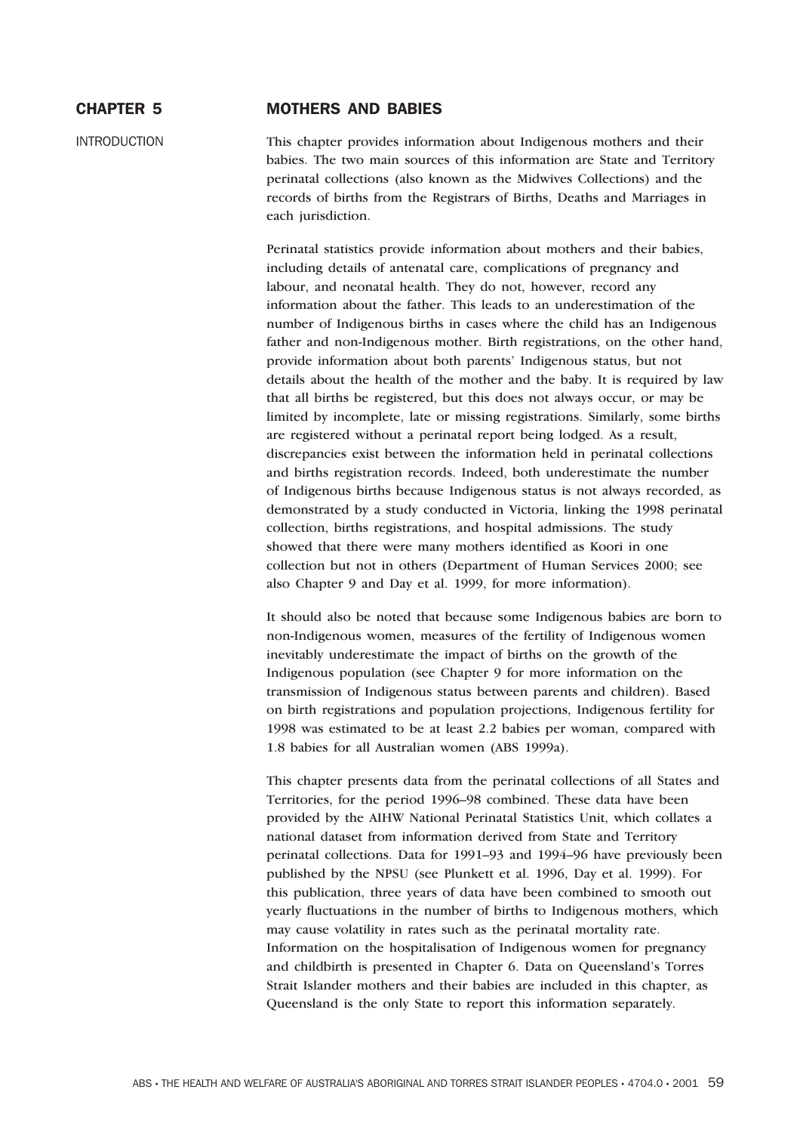# CHAPTER 5 MOTHERS AND BABIES

INTRODUCTION This chapter provides information about Indigenous mothers and their babies. The two main sources of this information are State and Territory perinatal collections (also known as the Midwives Collections) and the records of births from the Registrars of Births, Deaths and Marriages in each jurisdiction.

> Perinatal statistics provide information about mothers and their babies, including details of antenatal care, complications of pregnancy and labour, and neonatal health. They do not, however, record any information about the father. This leads to an underestimation of the number of Indigenous births in cases where the child has an Indigenous father and non-Indigenous mother. Birth registrations, on the other hand, provide information about both parents' Indigenous status, but not details about the health of the mother and the baby. It is required by law that all births be registered, but this does not always occur, or may be limited by incomplete, late or missing registrations. Similarly, some births are registered without a perinatal report being lodged. As a result, discrepancies exist between the information held in perinatal collections and births registration records. Indeed, both underestimate the number of Indigenous births because Indigenous status is not always recorded, as demonstrated by a study conducted in Victoria, linking the 1998 perinatal collection, births registrations, and hospital admissions. The study showed that there were many mothers identified as Koori in one collection but not in others (Department of Human Services 2000; see also Chapter 9 and Day et al. 1999, for more information).

> It should also be noted that because some Indigenous babies are born to non-Indigenous women, measures of the fertility of Indigenous women inevitably underestimate the impact of births on the growth of the Indigenous population (see Chapter 9 for more information on the transmission of Indigenous status between parents and children). Based on birth registrations and population projections, Indigenous fertility for 1998 was estimated to be at least 2.2 babies per woman, compared with 1.8 babies for all Australian women (ABS 1999a).

> This chapter presents data from the perinatal collections of all States and Territories, for the period 1996–98 combined. These data have been provided by the AIHW National Perinatal Statistics Unit, which collates a national dataset from information derived from State and Territory perinatal collections. Data for 1991–93 and 1994–96 have previously been published by the NPSU (see Plunkett et al. 1996, Day et al. 1999). For this publication, three years of data have been combined to smooth out yearly fluctuations in the number of births to Indigenous mothers, which may cause volatility in rates such as the perinatal mortality rate. Information on the hospitalisation of Indigenous women for pregnancy and childbirth is presented in Chapter 6. Data on Queensland's Torres Strait Islander mothers and their babies are included in this chapter, as Queensland is the only State to report this information separately.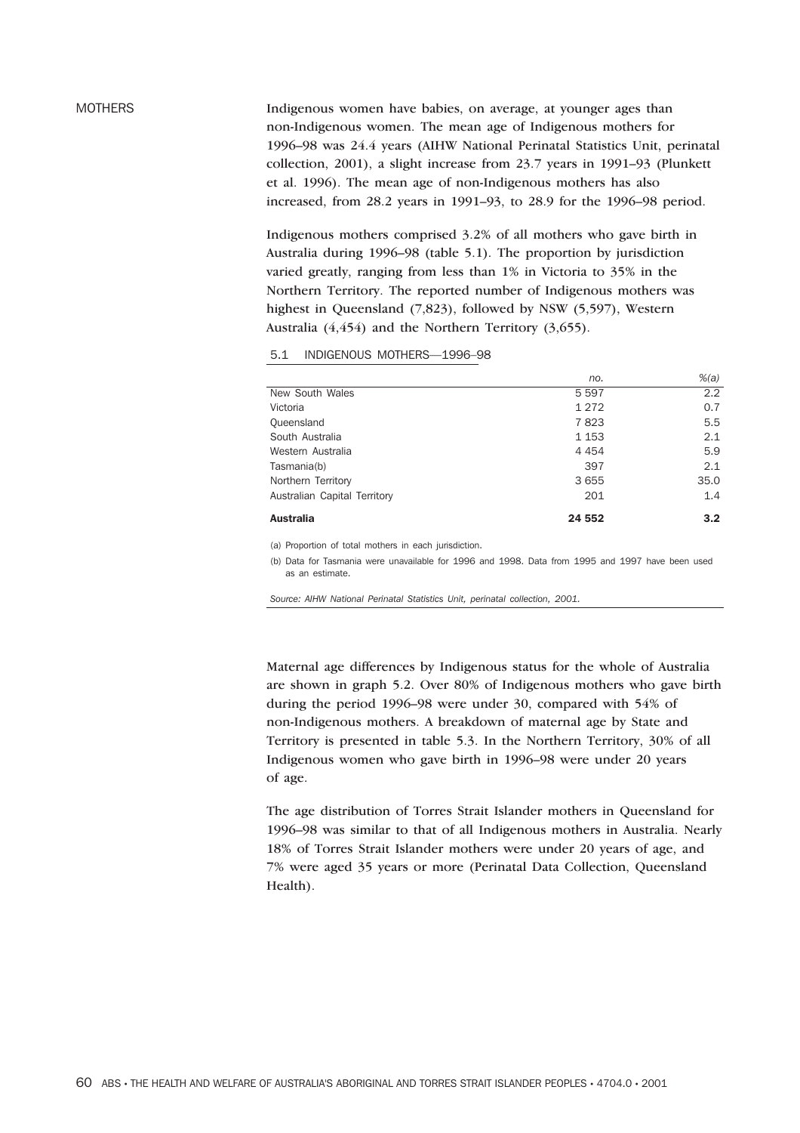MOTHERS **Indigenous women have babies, on average, at younger ages than** non-Indigenous women. The mean age of Indigenous mothers for 1996–98 was 24.4 years (AIHW National Perinatal Statistics Unit, perinatal collection, 2001), a slight increase from 23.7 years in 1991–93 (Plunkett et al. 1996). The mean age of non-Indigenous mothers has also increased, from 28.2 years in 1991–93, to 28.9 for the 1996–98 period.

> Indigenous mothers comprised 3.2% of all mothers who gave birth in Australia during 1996–98 (table 5.1). The proportion by jurisdiction varied greatly, ranging from less than 1% in Victoria to 35% in the Northern Territory. The reported number of Indigenous mothers was highest in Queensland (7,823), followed by NSW (5,597), Western Australia (4,454) and the Northern Territory (3,655).

5.1 INDIGENOUS MOTHERS—1996–98

|                              | no.     | $%$ $(a)$        |
|------------------------------|---------|------------------|
| New South Wales              | 5 5 9 7 | 2.2              |
| Victoria                     | 1 2 7 2 | 0.7              |
| Queensland                   | 7823    | 5.5              |
| South Australia              | 1 1 5 3 | 2.1              |
| Western Australia            | 4 4 5 4 | 5.9              |
| Tasmania(b)                  | 397     | 2.1              |
| Northern Territory           | 3 6 5 5 | 35.0             |
| Australian Capital Territory | 201     | 1.4              |
| <b>Australia</b>             | 24 552  | 3.2 <sub>2</sub> |

(a) Proportion of total mothers in each jurisdiction.

(b) Data for Tasmania were unavailable for 1996 and 1998. Data from 1995 and 1997 have been used as an estimate.

*Source: AIHW National Perinatal Statistics Unit, perinatal collection, 2001.*

Maternal age differences by Indigenous status for the whole of Australia are shown in graph 5.2. Over 80% of Indigenous mothers who gave birth during the period 1996–98 were under 30, compared with 54% of non-Indigenous mothers. A breakdown of maternal age by State and Territory is presented in table 5.3. In the Northern Territory, 30% of all Indigenous women who gave birth in 1996–98 were under 20 years of age.

The age distribution of Torres Strait Islander mothers in Queensland for 1996–98 was similar to that of all Indigenous mothers in Australia. Nearly 18% of Torres Strait Islander mothers were under 20 years of age, and 7% were aged 35 years or more (Perinatal Data Collection, Queensland Health).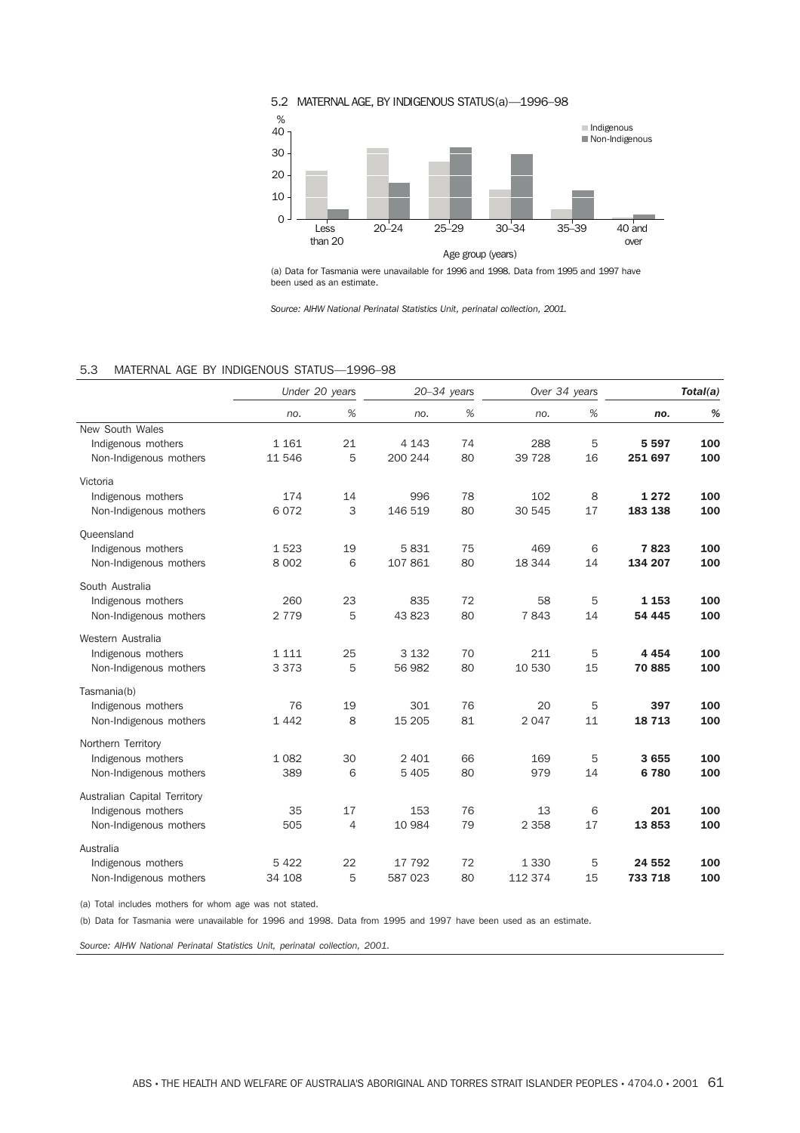

(a) Data for Tasmania were unavailable for 1996 and 1998. Data from 1995 and 1997 have been used as an estimate.

*Source: AIHW National Perinatal Statistics Unit, perinatal collection, 2001.*

## 5.3 MATERNAL AGE BY INDIGENOUS STATUS—1996–98

|                                                                              | Under 20 years     |                      | $20 - 34$ years    |          | Over 34 years      |         | Total(a)           |            |
|------------------------------------------------------------------------------|--------------------|----------------------|--------------------|----------|--------------------|---------|--------------------|------------|
|                                                                              | no.                | $\%$                 | no.                | $\%$     | no.                | $\%$    | no.                | %          |
| New South Wales<br>Indigenous mothers<br>Non-Indigenous mothers              | 1 1 6 1<br>11 546  | 21<br>5              | 4 1 4 3<br>200 244 | 74<br>80 | 288<br>39 7 28     | 5<br>16 | 5 5 9 7<br>251 697 | 100<br>100 |
| Victoria<br>Indigenous mothers<br>Non-Indigenous mothers                     | 174<br>6072        | 14<br>3              | 996<br>146 519     | 78<br>80 | 102<br>30 545      | 8<br>17 | 1 2 7 2<br>183 138 | 100<br>100 |
| Queensland<br>Indigenous mothers<br>Non-Indigenous mothers                   | 1523<br>8 0 0 2    | 19<br>6              | 5831<br>107 861    | 75<br>80 | 469<br>18 344      | 6<br>14 | 7823<br>134 207    | 100<br>100 |
| South Australia<br>Indigenous mothers<br>Non-Indigenous mothers              | 260<br>2 7 7 9     | 23<br>5              | 835<br>43 823      | 72<br>80 | 58<br>7843         | 5<br>14 | 1 1 5 3<br>54 445  | 100<br>100 |
| Western Australia<br>Indigenous mothers<br>Non-Indigenous mothers            | 1 1 1 1<br>3 3 7 3 | 25<br>5              | 3 1 3 2<br>56 982  | 70<br>80 | 211<br>10 530      | 5<br>15 | 4 4 5 4<br>70885   | 100<br>100 |
| Tasmania(b)<br>Indigenous mothers<br>Non-Indigenous mothers                  | 76<br>1 4 4 2      | 19<br>8              | 301<br>15 205      | 76<br>81 | 20<br>2 0 4 7      | 5<br>11 | 397<br>18713       | 100<br>100 |
| Northern Territory<br>Indigenous mothers<br>Non-Indigenous mothers           | 1 0 8 2<br>389     | 30<br>6              | 2 4 0 1<br>5 4 0 5 | 66<br>80 | 169<br>979         | 5<br>14 | 3 6 5 5<br>6780    | 100<br>100 |
| Australian Capital Territory<br>Indigenous mothers<br>Non-Indigenous mothers | 35<br>505          | 17<br>$\overline{4}$ | 153<br>10 984      | 76<br>79 | 13<br>2 3 5 8      | 6<br>17 | 201<br>13853       | 100<br>100 |
| Australia<br>Indigenous mothers<br>Non-Indigenous mothers                    | 5 4 2 2<br>34 108  | 22<br>5              | 17 792<br>587 023  | 72<br>80 | 1 3 3 0<br>112 374 | 5<br>15 | 24 552<br>733 718  | 100<br>100 |

(a) Total includes mothers for whom age was not stated.

(b) Data for Tasmania were unavailable for 1996 and 1998. Data from 1995 and 1997 have been used as an estimate.

*Source: AIHW National Perinatal Statistics Unit, perinatal collection, 2001.*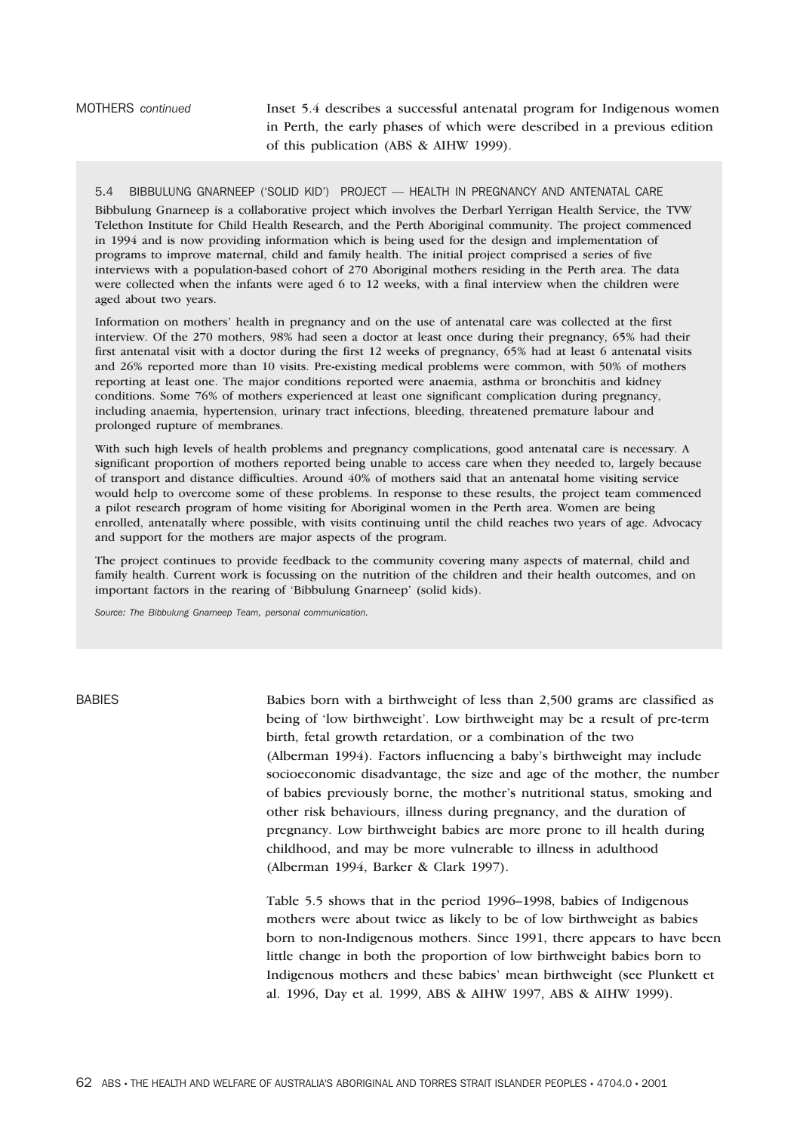# MOTHERS *continued* Inset 5.4 describes a successful antenatal program for Indigenous women in Perth, the early phases of which were described in a previous edition of this publication (ABS & AIHW 1999).

### 5.4 BIBBULUNG GNARNEEP ('SOLID KID') PROJECT — HEALTH IN PREGNANCY AND ANTENATAL CARE

Bibbulung Gnarneep is a collaborative project which involves the Derbarl Yerrigan Health Service, the TVW Telethon Institute for Child Health Research, and the Perth Aboriginal community. The project commenced in 1994 and is now providing information which is being used for the design and implementation of programs to improve maternal, child and family health. The initial project comprised a series of five interviews with a population-based cohort of 270 Aboriginal mothers residing in the Perth area. The data were collected when the infants were aged 6 to 12 weeks, with a final interview when the children were aged about two years.

Information on mothers' health in pregnancy and on the use of antenatal care was collected at the first interview. Of the 270 mothers, 98% had seen a doctor at least once during their pregnancy, 65% had their first antenatal visit with a doctor during the first 12 weeks of pregnancy, 65% had at least 6 antenatal visits and 26% reported more than 10 visits. Pre-existing medical problems were common, with 50% of mothers reporting at least one. The major conditions reported were anaemia, asthma or bronchitis and kidney conditions. Some 76% of mothers experienced at least one significant complication during pregnancy, including anaemia, hypertension, urinary tract infections, bleeding, threatened premature labour and prolonged rupture of membranes.

With such high levels of health problems and pregnancy complications, good antenatal care is necessary. A significant proportion of mothers reported being unable to access care when they needed to, largely because of transport and distance difficulties. Around 40% of mothers said that an antenatal home visiting service would help to overcome some of these problems. In response to these results, the project team commenced a pilot research program of home visiting for Aboriginal women in the Perth area. Women are being enrolled, antenatally where possible, with visits continuing until the child reaches two years of age. Advocacy and support for the mothers are major aspects of the program.

The project continues to provide feedback to the community covering many aspects of maternal, child and family health. Current work is focussing on the nutrition of the children and their health outcomes, and on important factors in the rearing of 'Bibbulung Gnarneep' (solid kids).

*Source: The Bibbulung Gnarneep Team, personal communication.*

BABIES Babies born with a birthweight of less than 2,500 grams are classified as being of 'low birthweight'. Low birthweight may be a result of pre-term birth, fetal growth retardation, or a combination of the two (Alberman 1994). Factors influencing a baby's birthweight may include socioeconomic disadvantage, the size and age of the mother, the number of babies previously borne, the mother's nutritional status, smoking and other risk behaviours, illness during pregnancy, and the duration of pregnancy. Low birthweight babies are more prone to ill health during childhood, and may be more vulnerable to illness in adulthood (Alberman 1994, Barker & Clark 1997).

> Table 5.5 shows that in the period 1996–1998, babies of Indigenous mothers were about twice as likely to be of low birthweight as babies born to non-Indigenous mothers. Since 1991, there appears to have been little change in both the proportion of low birthweight babies born to Indigenous mothers and these babies' mean birthweight (see Plunkett et al. 1996, Day et al. 1999, ABS & AIHW 1997, ABS & AIHW 1999).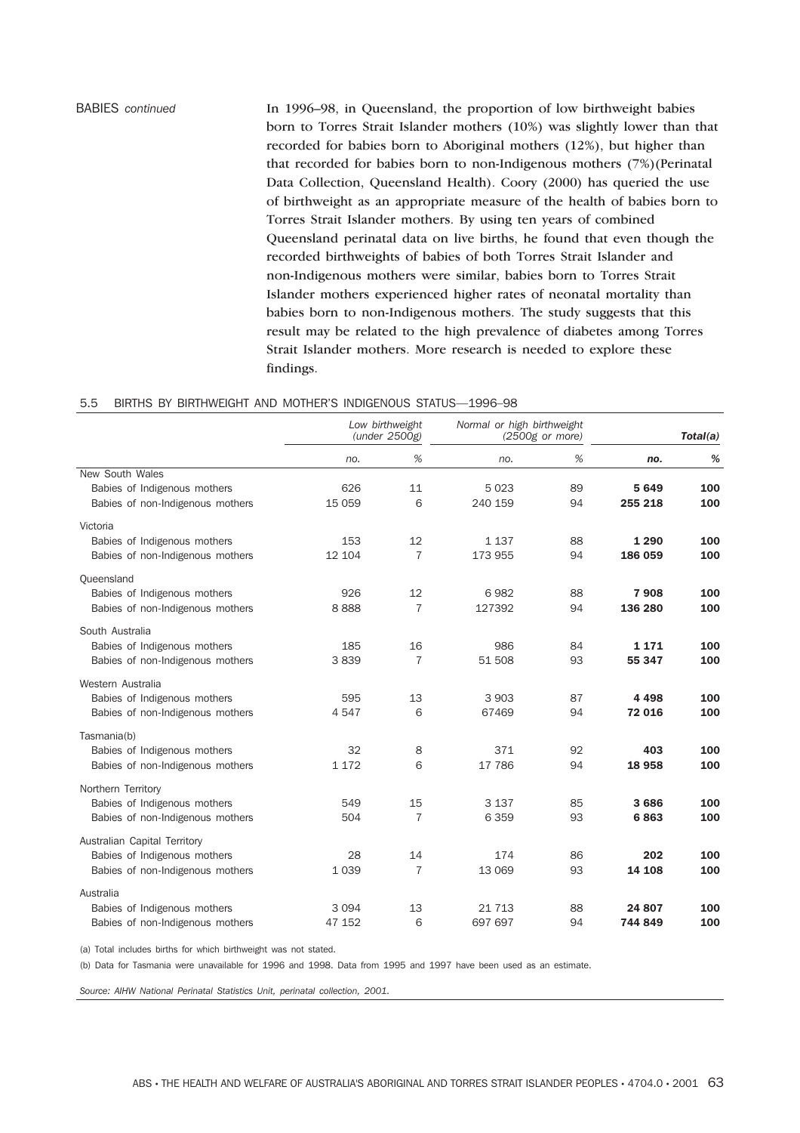BABIES *continued* In 1996–98, in Queensland, the proportion of low birthweight babies born to Torres Strait Islander mothers (10%) was slightly lower than that recorded for babies born to Aboriginal mothers (12%), but higher than that recorded for babies born to non-Indigenous mothers (7%)(Perinatal Data Collection, Queensland Health). Coory (2000) has queried the use of birthweight as an appropriate measure of the health of babies born to Torres Strait Islander mothers. By using ten years of combined Queensland perinatal data on live births, he found that even though the recorded birthweights of babies of both Torres Strait Islander and non-Indigenous mothers were similar, babies born to Torres Strait Islander mothers experienced higher rates of neonatal mortality than babies born to non-Indigenous mothers. The study suggests that this result may be related to the high prevalence of diabetes among Torres Strait Islander mothers. More research is needed to explore these findings.

### 5.5 BIRTHS BY BIRTHWEIGHT AND MOTHER'S INDIGENOUS STATUS—1996–98

|                                                                  |               | Low birthweight<br>(under 2500g) | Normal or high birthweight | $(2500g$ or more) | Total(a)     |            |
|------------------------------------------------------------------|---------------|----------------------------------|----------------------------|-------------------|--------------|------------|
|                                                                  | no.           | %                                | no.                        | %                 | no.          | %          |
| New South Wales                                                  |               |                                  |                            |                   |              |            |
| Babies of Indigenous mothers                                     | 626           | 11                               | 5 0 2 3                    | 89                | 5649         | 100        |
| Babies of non-Indigenous mothers                                 | 15 059        | 6                                | 240 159                    | 94                | 255 218      | 100        |
| Victoria                                                         |               |                                  |                            |                   |              |            |
| Babies of Indigenous mothers                                     | 153           | 12                               | 1 1 3 7                    | 88                | 1 2 9 0      | 100        |
| Babies of non-Indigenous mothers                                 | 12 104        | $\overline{7}$                   | 173 955                    | 94                | 186 059      | 100        |
| Queensland                                                       |               |                                  |                            |                   |              |            |
| Babies of Indigenous mothers                                     | 926           | 12                               | 6982                       | 88                | 7908         | 100        |
| Babies of non-Indigenous mothers                                 | 8888          | $\overline{7}$                   | 127392                     | 94                | 136 280      | 100        |
| South Australia                                                  |               |                                  |                            |                   |              |            |
| Babies of Indigenous mothers                                     | 185           | 16                               | 986                        | 84                | 1 1 7 1      | 100        |
| Babies of non-Indigenous mothers                                 | 3839          | $\overline{7}$                   | 51 508                     | 93                | 55 347       | 100        |
| Western Australia                                                |               |                                  |                            |                   |              |            |
| Babies of Indigenous mothers                                     | 595           | 13                               | 3 9 0 3                    | 87                | 4 4 9 8      | 100        |
| Babies of non-Indigenous mothers                                 | 4547          | 6                                | 67469                      | 94                | 72 016       | 100        |
|                                                                  |               |                                  |                            |                   |              |            |
| Tasmania(b)                                                      |               |                                  |                            |                   |              |            |
| Babies of Indigenous mothers<br>Babies of non-Indigenous mothers | 32<br>1 1 7 2 | 8<br>6                           | 371<br>17 786              | 92<br>94          | 403<br>18958 | 100<br>100 |
|                                                                  |               |                                  |                            |                   |              |            |
| Northern Territory                                               |               |                                  |                            |                   |              |            |
| Babies of Indigenous mothers                                     | 549           | 15                               | 3 1 3 7                    | 85                | 3686         | 100        |
| Babies of non-Indigenous mothers                                 | 504           | $\overline{7}$                   | 6 3 5 9                    | 93                | 6863         | 100        |
| Australian Capital Territory                                     |               |                                  |                            |                   |              |            |
| Babies of Indigenous mothers                                     | 28            | 14                               | 174                        | 86                | 202          | 100        |
| Babies of non-Indigenous mothers                                 | 1 0 3 9       | $\overline{7}$                   | 13 069                     | 93                | 14 108       | 100        |
| Australia                                                        |               |                                  |                            |                   |              |            |
| Babies of Indigenous mothers                                     | 3 0 9 4       | 13                               | 21 7 1 3                   | 88                | 24 807       | 100        |
| Babies of non-Indigenous mothers                                 | 47 152        | 6                                | 697 697                    | 94                | 744 849      | 100        |

(a) Total includes births for which birthweight was not stated.

(b) Data for Tasmania were unavailable for 1996 and 1998. Data from 1995 and 1997 have been used as an estimate.

*Source: AIHW National Perinatal Statistics Unit, perinatal collection, 2001.*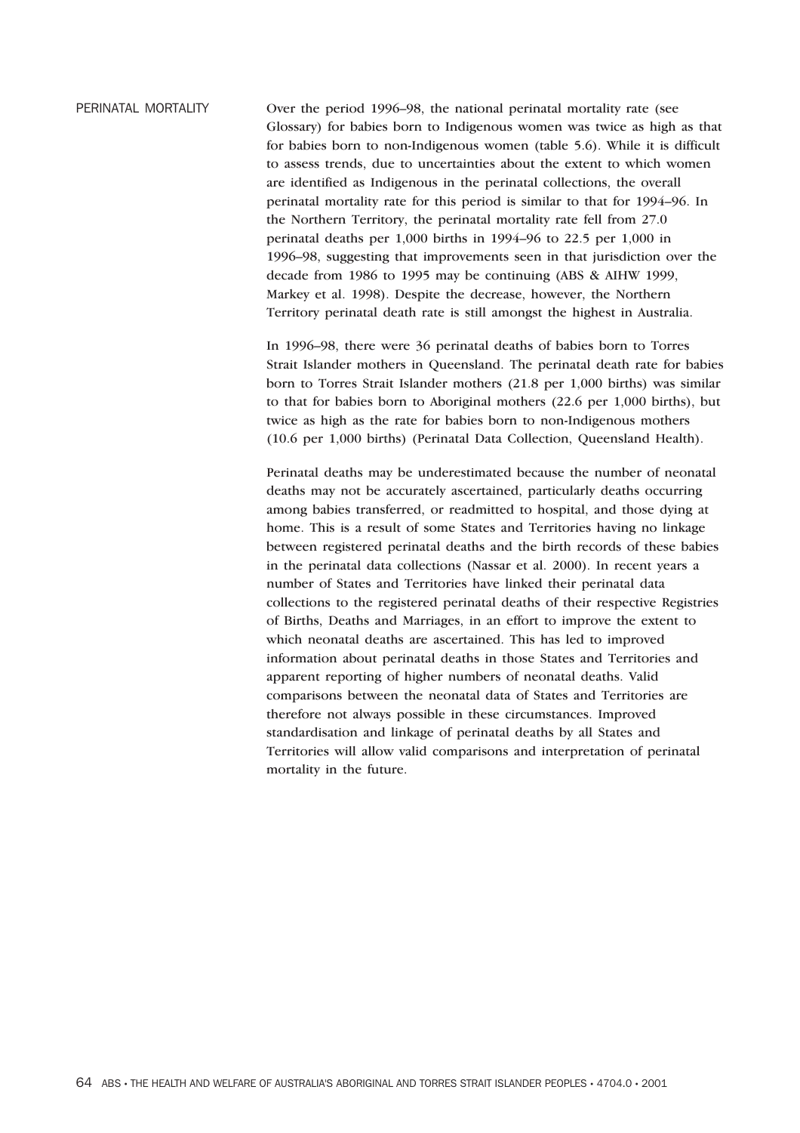PERINATAL MORTALITY Over the period 1996–98, the national perinatal mortality rate (see Glossary) for babies born to Indigenous women was twice as high as that for babies born to non-Indigenous women (table 5.6). While it is difficult to assess trends, due to uncertainties about the extent to which women are identified as Indigenous in the perinatal collections, the overall perinatal mortality rate for this period is similar to that for 1994–96. In the Northern Territory, the perinatal mortality rate fell from 27.0 perinatal deaths per 1,000 births in 1994–96 to 22.5 per 1,000 in 1996–98, suggesting that improvements seen in that jurisdiction over the decade from 1986 to 1995 may be continuing (ABS & AIHW 1999, Markey et al. 1998). Despite the decrease, however, the Northern Territory perinatal death rate is still amongst the highest in Australia.

> In 1996–98, there were 36 perinatal deaths of babies born to Torres Strait Islander mothers in Queensland. The perinatal death rate for babies born to Torres Strait Islander mothers (21.8 per 1,000 births) was similar to that for babies born to Aboriginal mothers (22.6 per 1,000 births), but twice as high as the rate for babies born to non-Indigenous mothers (10.6 per 1,000 births) (Perinatal Data Collection, Queensland Health).

> Perinatal deaths may be underestimated because the number of neonatal deaths may not be accurately ascertained, particularly deaths occurring among babies transferred, or readmitted to hospital, and those dying at home. This is a result of some States and Territories having no linkage between registered perinatal deaths and the birth records of these babies in the perinatal data collections (Nassar et al. 2000). In recent years a number of States and Territories have linked their perinatal data collections to the registered perinatal deaths of their respective Registries of Births, Deaths and Marriages, in an effort to improve the extent to which neonatal deaths are ascertained. This has led to improved information about perinatal deaths in those States and Territories and apparent reporting of higher numbers of neonatal deaths. Valid comparisons between the neonatal data of States and Territories are therefore not always possible in these circumstances. Improved standardisation and linkage of perinatal deaths by all States and Territories will allow valid comparisons and interpretation of perinatal mortality in the future.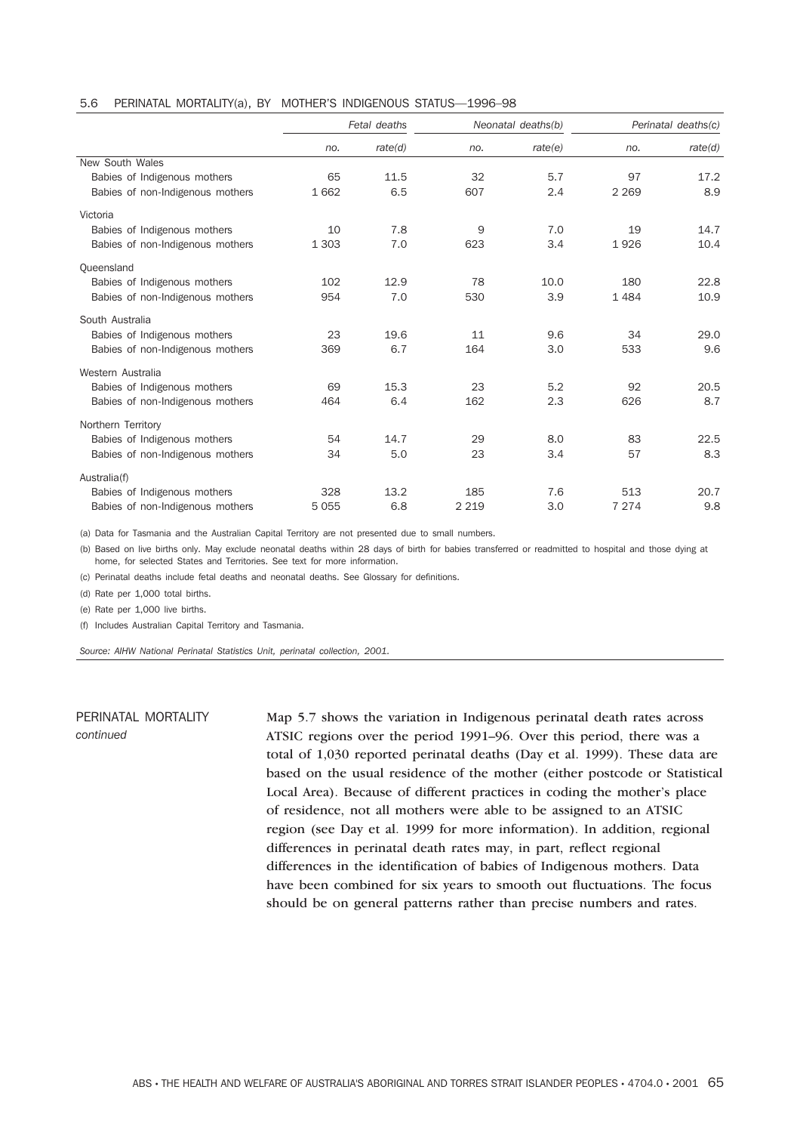### 5.6 PERINATAL MORTALITY(a), BY MOTHER'S INDIGENOUS STATUS—1996–98

|                                  | Fetal deaths |         | Neonatal deaths(b) |         | Perinatal deaths(c) |         |
|----------------------------------|--------------|---------|--------------------|---------|---------------------|---------|
|                                  | no.          | rate(d) | no.                | rate(e) | no.                 | rate(d) |
| New South Wales                  |              |         |                    |         |                     |         |
| Babies of Indigenous mothers     | 65           | 11.5    | 32                 | 5.7     | 97                  | 17.2    |
| Babies of non-Indigenous mothers | 1662         | 6.5     | 607                | 2.4     | 2 2 6 9             | 8.9     |
| Victoria                         |              |         |                    |         |                     |         |
| Babies of Indigenous mothers     | 10           | 7.8     | 9                  | 7.0     | 19                  | 14.7    |
| Babies of non-Indigenous mothers | 1 3 0 3      | 7.0     | 623                | 3.4     | 1926                | 10.4    |
| Queensland                       |              |         |                    |         |                     |         |
| Babies of Indigenous mothers     | 102          | 12.9    | 78                 | 10.0    | 180                 | 22.8    |
| Babies of non-Indigenous mothers | 954          | 7.0     | 530                | 3.9     | 1 4 8 4             | 10.9    |
| South Australia                  |              |         |                    |         |                     |         |
| Babies of Indigenous mothers     | 23           | 19.6    | 11                 | 9.6     | 34                  | 29.0    |
| Babies of non-Indigenous mothers | 369          | 6.7     | 164                | 3.0     | 533                 | 9.6     |
| Western Australia                |              |         |                    |         |                     |         |
| Babies of Indigenous mothers     | 69           | 15.3    | 23                 | 5.2     | 92                  | 20.5    |
| Babies of non-Indigenous mothers | 464          | 6.4     | 162                | 2.3     | 626                 | 8.7     |
| Northern Territory               |              |         |                    |         |                     |         |
| Babies of Indigenous mothers     | 54           | 14.7    | 29                 | 8.0     | 83                  | 22.5    |
| Babies of non-Indigenous mothers | 34           | 5.0     | 23                 | 3.4     | 57                  | 8.3     |
| Australia(f)                     |              |         |                    |         |                     |         |
| Babies of Indigenous mothers     | 328          | 13.2    | 185                | 7.6     | 513                 | 20.7    |
| Babies of non-Indigenous mothers | 5055         | 6.8     | 2 2 1 9            | 3.0     | 7 2 7 4             | 9.8     |

(a) Data for Tasmania and the Australian Capital Territory are not presented due to small numbers.

(b) Based on live births only. May exclude neonatal deaths within 28 days of birth for babies transferred or readmitted to hospital and those dying at home, for selected States and Territories. See text for more information.

(c) Perinatal deaths include fetal deaths and neonatal deaths. See Glossary for definitions.

(d) Rate per 1,000 total births.

(e) Rate per 1,000 live births.

(f) Includes Australian Capital Territory and Tasmania.

*Source: AIHW National Perinatal Statistics Unit, perinatal collection, 2001.*

# PERINATAL MORTALITY *continued*

Map 5.7 shows the variation in Indigenous perinatal death rates across ATSIC regions over the period 1991–96. Over this period, there was a total of 1,030 reported perinatal deaths (Day et al. 1999). These data are based on the usual residence of the mother (either postcode or Statistical Local Area). Because of different practices in coding the mother's place of residence, not all mothers were able to be assigned to an ATSIC region (see Day et al. 1999 for more information). In addition, regional differences in perinatal death rates may, in part, reflect regional differences in the identification of babies of Indigenous mothers. Data have been combined for six years to smooth out fluctuations. The focus should be on general patterns rather than precise numbers and rates.